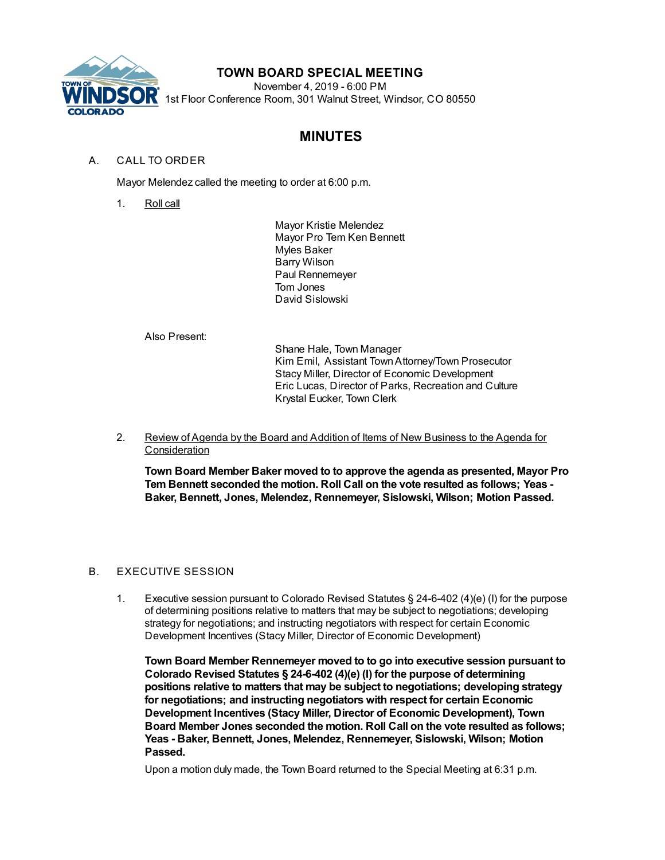

## **TOWN BOARD SPECIAL MEETING**

November 4, 2019 - 6:00 PM 1st Floor Conference Room, 301 Walnut Street, Windsor, CO 80550

# **MINUTES**

## A. CALL TO ORDER

Mayor Melendez called the meeting to order at 6:00 p.m.

1. Roll call

Mayor Kristie Melendez Mayor Pro Tem Ken Bennett Myles Baker Barry Wilson Paul Rennemeyer Tom Jones David Sislowski

Also Present:

Shane Hale, Town Manager Kim Emil, Assistant TownAttorney/Town Prosecutor Stacy Miller, Director of Economic Development Eric Lucas, Director of Parks, Recreation and Culture Krystal Eucker, Town Clerk

2. Review of Agenda by the Board and Addition of Items of New Business to the Agenda for **Consideration** 

**Town Board Member Baker moved to to approve the agenda as presented, Mayor Pro Tem Bennett seconded the motion. Roll Call on the vote resulted as follows; Yeas - Baker, Bennett, Jones, Melendez, Rennemeyer, Sislowski, Wilson; Motion Passed.**

### B. EXECUTIVE SESSION

1. Executive session pursuant to Colorado Revised Statutes § 24-6-402 (4)(e) (I) for the purpose of determining positions relative to matters that may be subject to negotiations; developing strategy for negotiations; and instructing negotiators with respect for certain Economic Development Incentives (Stacy Miller, Director of Economic Development)

**Town Board Member Rennemeyer moved to to go into executive session pursuant to Colorado Revised Statutes § 24-6-402 (4)(e) (I) for the purpose of determining positions relative to matters that may be subject to negotiations; developing strategy for negotiations; and instructing negotiators with respect for certain Economic Development Incentives (Stacy Miller, Director of Economic Development), Town Board Member Jones seconded the motion. Roll Call on the vote resulted as follows; Yeas - Baker, Bennett, Jones, Melendez, Rennemeyer, Sislowski, Wilson; Motion Passed.**

Upon a motion duly made, the Town Board returned to the Special Meeting at 6:31 p.m.